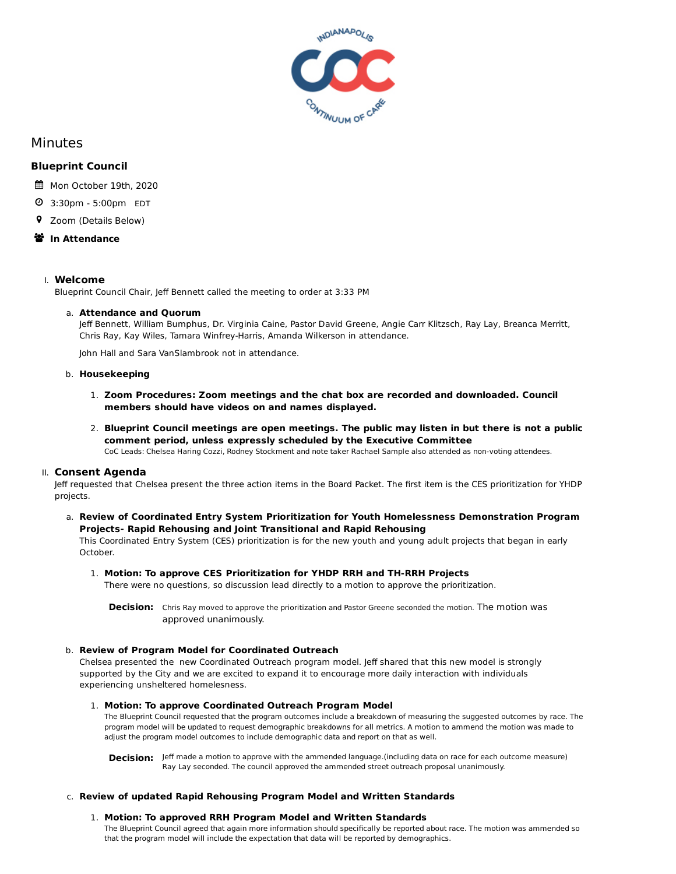

# Minutes

# **Blueprint Council**

- Mon October 19th, 2020
- 3:30pm 5:00pm EDT
- Zoom (Details Below)
- **<sup>※</sup>** In Attendance

# I. **Welcome**

Blueprint Council Chair, Jeff Bennett called the meeting to order at 3:33 PM

# a. **Attendance and Quorum**

Jeff Bennett, William Bumphus, Dr. Virginia Caine, Pastor David Greene, Angie Carr Klitzsch, Ray Lay, Breanca Merritt, Chris Ray, Kay Wiles, Tamara Winfrey-Harris, Amanda Wilkerson in attendance.

John Hall and Sara VanSlambrook not in attendance.

# b. **Housekeeping**

- 1. **Zoom Procedures: Zoom meetings and the chat box are recorded and downloaded. Council members should have videos on and names displayed.**
- 2. **Blueprint Council meetings are open meetings. The public may listen in but there is not a public comment period, unless expressly scheduled by the Executive Committee**

CoC Leads: Chelsea Haring Cozzi, Rodney Stockment and note taker Rachael Sample also attended as non-voting attendees.

# II. **Consent Agenda**

Jeff requested that Chelsea present the three action items in the Board Packet. The first item is the CES prioritization for YHDP projects.

a. **Review of Coordinated Entry System Prioritization for Youth Homelessness Demonstration Program Projects- Rapid Rehousing and Joint Transitional and Rapid Rehousing**

This Coordinated Entry System (CES) prioritization is for the new youth and young adult projects that began in early October.

# 1. **Motion: To approve CES Prioritization for YHDP RRH and TH-RRH Projects**

There were no questions, so discussion lead directly to a motion to approve the prioritization.

**Decision:** Chris Ray moved to approve the prioritization and Pastor Greene seconded the motion. The motion was approved unanimously.

# b. **Review of Program Model for Coordinated Outreach**

Chelsea presented the new Coordinated Outreach program model. Jeff shared that this new model is strongly supported by the City and we are excited to expand it to encourage more daily interaction with individuals experiencing unsheltered homelesness.

#### 1. **Motion: To approve Coordinated Outreach Program Model**

The Blueprint Council requested that the program outcomes include a breakdown of measuring the suggested outcomes by race. The program model will be updated to request demographic breakdowns for all metrics. A motion to ammend the motion was made to adjust the program model outcomes to include demographic data and report on that as well.

**Decision:** Jeff made a motion to approve with the ammended language.(including data on race for each outcome measure) Ray Lay seconded. The council approved the ammended street outreach proposal unanimously.

# c. **Review of updated Rapid Rehousing Program Model and Written Standards**

# 1. **Motion: To approved RRH Program Model and Written Standards**

The Blueprint Council agreed that again more information should specifically be reported about race. The motion was ammended so that the program model will include the expectation that data will be reported by demographics.